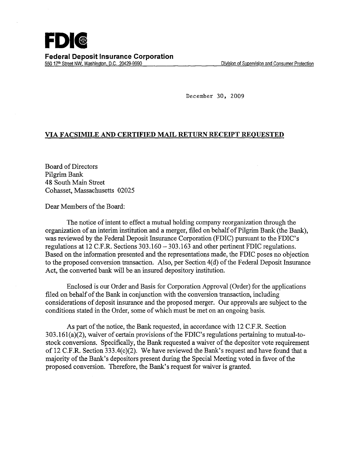December 30, 2009

## VIA FACSIMILE AND CERTIFIED MAIL RETURN RECEIPT REQUESTED

Board of Directors Pilgrim Bank 48 South Main Street Cohasset, Massachusetts 02025

Dear Members of the Board:

The notice of intent to effect a mutual holding company reorganization through the organization of an interim institution and a merger, filed on behalf of Pilgrim Bank (the Bank), was reviewed by the Federal Deposit Insurance Corporation (FDIC) pursuant to the FDIC's regulations at 12 C.F.R. Sections 303.160-303.163 and other pertinent FDIC regulations. Based on the information presented and the representations made, the FDIC poses no objection to the proposed conversion transaction. Also, per Section 4(d) of the Federal Deposit Insurance Act, the converted bank will be an insured depository institution.

Enclosed is our Order and Basis for Corporation Approval (Order) for the applications filed on behalf of the Bank in conjunction with the conversion transaction, including considerations of deposit insurance and the proposed merger. Our approvals are subject to the conditions stated in the Order, some of which must be met on an ongoing basis.

As part of the notice, the Bank requested, in accordance with 12 C.F.R. Section 303.161(a)(2), waiver of certain provisions of the FDIC's regulations pertaining to mutual-tostock conversions. Specifically, the Bank requested a waiver of the depositor vote requirement of 12 C.F.R. Section 333.4(c)(2). We have reviewed the Bank's request and have found that a majority of the Bank's depositors present during the Special Meeting voted in favor of the proposed conversion. Therefore, the Bank's request for waiver is granted.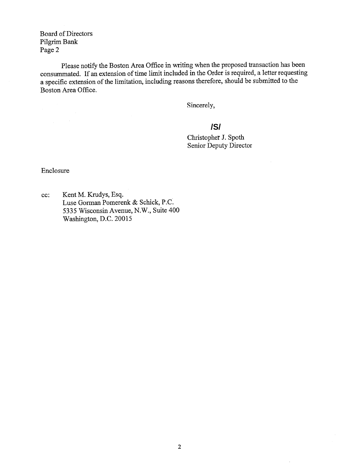Board of Directors Pilgrim Bank Page 2

Please notify the Boston Area Office in writing when the proposed transaction has been consummated. If an extension of time limit included in the Order is required, a letter requesting a specific extension of the limitation, including reasons therefore, should be submitted to the Boston Area Office.

Sincerely,

Christopher J. Spoth Senior Deputy Director **/S/**

Enclosure

 $\label{eq:2.1} \frac{1}{\sqrt{2\pi}}\int_{\mathbb{R}^{2}}\left|\frac{d\mathbf{r}}{d\mathbf{r}}\right|^{2}d\mathbf{r}d\mathbf{r}$ 

cc: Kent M. Krudys, Esq. Luse Gorman Pomerenk & Schick, P.C. *5335* Wisconsin Avenue, N.W., Suite 400 Washington, D.C. 20015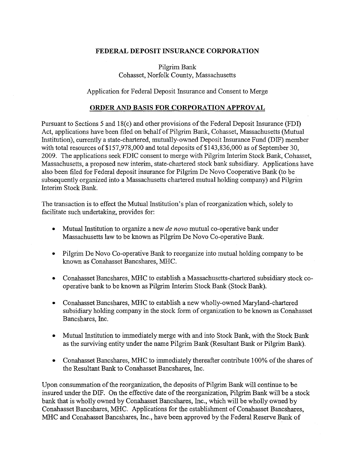## FEDERAL DEPOSIT INSURANCE CORPORATION

Pilgrim Bank Cohasset, Norfolk County, Massachusetts

Application for Federal Deposit Insurance and Consent to Merge

## ORDER AND BASIS FOR CORPORATION APPROVAL

Pursuant to Sections 5 and 18(c) and other provisions of the Federal Deposit Insurance (FDI) Act, applications have been filed on behalf of Pilgrim Bank, Cohasset, Massachusetts (Mutual Institution), currently a state-chartered, mutually-owned Deposit Insurance Fund (DIF) member with total resources of \$157,978,000 and total deposits of \$143,836,000 as of September 30, 2009. The applications seek FDIC consent to merge with Pilgrim Interim Stock Bank, Cohasset, Massachusetts, a proposed new interim, state-chartered stock bank subsidiary. Applications have also been filed for Federal deposit insurance for Pilgrim De Novo Cooperative Bank (to be subsequently organized into a Massachusetts chartered mutual holding company) and Pilgrim Interim Stock Bank.

The transaction is to effect the Mutual Institution's plan of reorganization which, solely to facilitate such undertaking, provides for:

- Mutual Institution to organize a new *de novo* mutual co-operative bank under Massachusetts law to be known as Pilgrim De Novo Co-operative Bank.
- Pilgrim De Novo Co-operative Bank to reorganize into mutual holding company to be known as Conahasset Bancshares, MHC.
- Conahasset Bancshares, MHC to establish a Massachusetts-chartered subsidiary stock cooperative bank to be known as Pilgrim Interim Stock Bank (Stock Bank).
- Conahasset Bancshares, MHC to establish a new wholly-owned Maryland-chartered subsidiary holding company in the stock form of organization to be known as Conahasset Bancshares, Inc.
- Mutual Institution to immediately merge with and into Stock Bank, with the Stock Bank as the surviving entity under the name Pilgrim Bank (Resultant Bank or Pilgrim Bank).
- Conahasset Bancshares, MHC to immediately thereafter contribute 100% of the shares of the Resultant Bank to Conahasset Bancshares, Inc.

Upon consummation of the reorganization, the deposits of Pilgrim Bank will continue to be insured under the DIF. On the effective date of the reorganization, Pilgrim Bank will be a stock bank that is wholly owned by Conahasset Bancshares, Inc., which will be wholly owned by Conahasset Bancshares, MHC. Applications for the establishment of Conahasset Bancshares, MHC and Conahasset Bancshares, Inc., have been approved by the Federal Reserve Bank of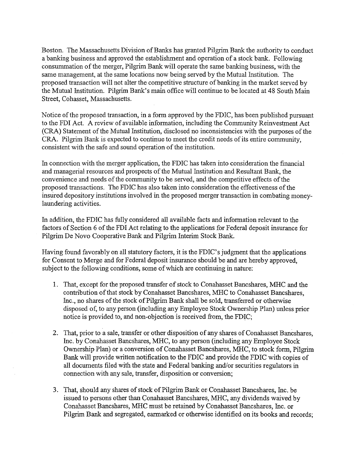Boston. The Massachusetts Division of Banks has granted Pilgrim Bank the authority to conduct abanking business and approved the establishment and operation of a stock bank. Following consummation of the merger, Pilgrim Bank will operate the same banking business, with the same management, at the same locations now being served by the Mutual Institution. The proposed transaction will not alter the competitive structure of banking in the market served by the Mutual Institution. Pilgrim Bank's main office will continue to be located at 48 South Main Street, Cohasset, Massachusetts.

Notice of the proposed transaction, in a form approved by the FDIC, has been published pursuant to the FDI Act. A review of available information, including the Community Reinvestment Act (CRA) Statement of the Mutual Institution, disclosed no inconsistencies with the purposes of the CRA. Pilgrim Bank is expected to continue to meet the credit needs of its entire community, consistent with the safe and sound operation of the institution.

In connection with the merger application, the FDIC has taken into consideration the financial and managerial resources and prospects of the Mutual Institution and Resultant Bank, the convenience and needs of the community to be served, and the competitive effects of the proposed transactions. The FDIC has also taken into consideration the effectiveness of the insured depository institutions involved in the proposed merger transaction in combating moneylaundering activities.

In addition, the FDIC has fully considered all available facts and information relevant to the factors of Section 6 of the FDI Act relating to the applications for Federal deposit insurance for Pilgrim De Novo Cooperative Bank and Pilgrim Interim Stock Bank.

Having found favorably on all statutory factors, it is the FDIC's judgment that the applications for Consent to Merge and for Federal deposit insurance should be and are hereby approved, subject to the following conditions, some of which are continuing in nature:

- 1. That, except for the proposed transfer of stock to Conahasset Bancshares, MHC and the contribution of that stock by Conahasset Bancshares, MHC to Conahasset Bancshares, Inc., no shares of the stock of Pilgrim Bank shall be sold, transferred or otherwise disposed of, to any person (including any Employee Stock Ownership Plan) unless prior notice is provided to, and non-objection is received from, the FDIC;
- 2. That, prior to a sale, transfer or other disposition of any shares of Conahasset Bancshares, Inc. by Conahasset Bancshares, MHC, to any person (including any Employee Stock Ownership Plan) or a conversion of Conahasset Bancshares, MHC, to stock form, Pilgrim Bank will provide written notification to the FDIC and provide the FDIC with copies of all documents filed with the state and Federal banking and/or securities regulators in connection with any sale, transfer, disposition or conversion;
- 3. That, should any shares of stock of Pilgrim Bank or Conahasset Bancshares, Inc. be issued to persons other than Conahasset Bancshares, MHC, any dividends waived by Conahasset Bancshares, MHC must be retained by Conahasset Bancshares, Inc. or Pilgrim Bank and segregated, earmarked or otherwise identified on its books and records;